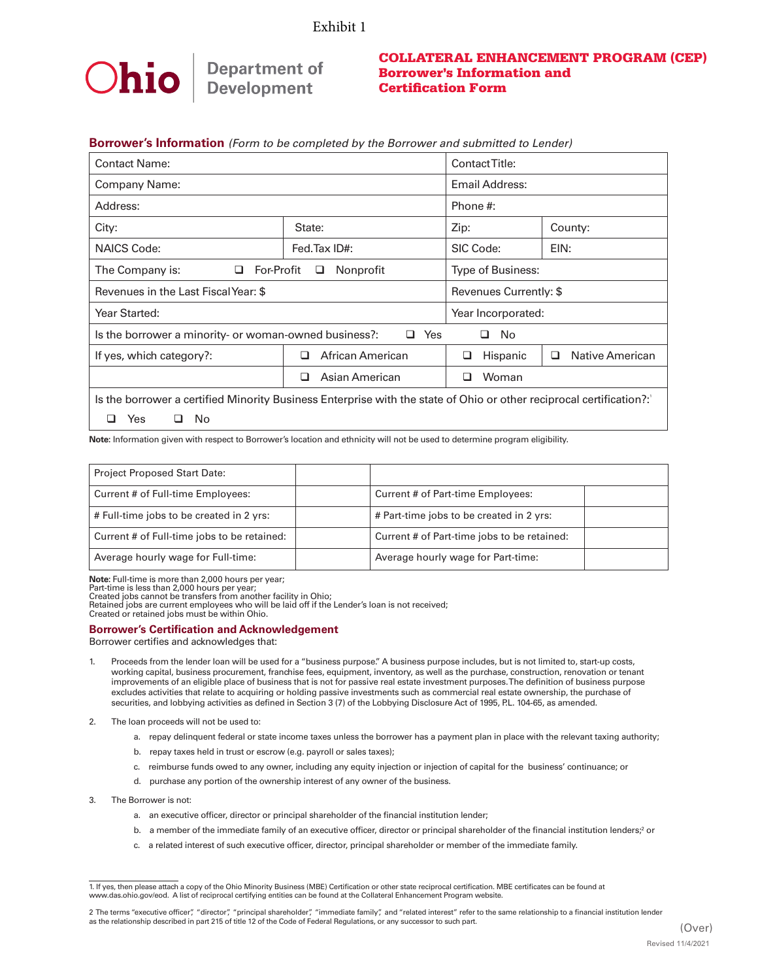# Exhibit 1



# COLLATERAL ENHANCEMENT PROGRAM (CEP) Borrower's Information and Certification Form

### **Borrower's Information** *(Form to be completed by the Borrower and submitted to Lender)*

| <b>Contact Name:</b>                                                                                                |                       | Contact Title:         |                      |  |  |
|---------------------------------------------------------------------------------------------------------------------|-----------------------|------------------------|----------------------|--|--|
| Company Name:                                                                                                       |                       | Email Address:         |                      |  |  |
| Address:                                                                                                            |                       | Phone #:               |                      |  |  |
| City:                                                                                                               | State:                | Zip:                   | County:              |  |  |
| <b>NAICS Code:</b>                                                                                                  | Fed.Tax ID#:          | SIC Code:<br>EIN:      |                      |  |  |
| For-Profit<br>The Company is:<br>0                                                                                  | Nonprofit<br>⊔        | Type of Business:      |                      |  |  |
| Revenues in the Last Fiscal Year: \$                                                                                |                       | Revenues Currently: \$ |                      |  |  |
| Year Started:                                                                                                       |                       | Year Incorporated:     |                      |  |  |
| Yes<br>No<br>Is the borrower a minority- or woman-owned business?:<br>□<br>□                                        |                       |                        |                      |  |  |
| If yes, which category?:                                                                                            | African American<br>□ | Hispanic<br>❏          | Native American<br>□ |  |  |
|                                                                                                                     | Asian American<br>ப   | Woman<br>┚             |                      |  |  |
| Is the borrower a certified Minority Business Enterprise with the state of Ohio or other reciprocal certification?: |                       |                        |                      |  |  |

 $\Box$  Yes  $\Box$  No

**Note:** Information given with respect to Borrower's location and ethnicity will not be used to determine program eligibility.

| <b>Project Proposed Start Date:</b>         |                                             |  |
|---------------------------------------------|---------------------------------------------|--|
| Current # of Full-time Employees:           | Current # of Part-time Employees:           |  |
| # Full-time jobs to be created in 2 yrs:    | # Part-time jobs to be created in 2 yrs:    |  |
| Current # of Full-time jobs to be retained: | Current # of Part-time jobs to be retained: |  |
| Average hourly wage for Full-time:          | Average hourly wage for Part-time:          |  |

**Note:** Full-time is more than 2,000 hours per year;

Part-time is less than 2,000 hours per year;<br>Created jobs cannot be transfers from another facility in Ohio;<br>Retained jobs are current employees who will be laid off if the Lender's loan is not received;

Created or retained jobs must be within Ohio.

**Borrower's Certification and Acknowledgement** 

Borrower certifies and acknowledges that:

- 1. Proceeds from the lender loan will be used for a "business purpose." A business purpose includes, but is not limited to, start-up costs, working capital, business procurement, franchise fees, equipment, inventory, as well as the purchase, construction, renovation or tenant improvements of an eligible place of business that is not for passive real estate investment purposes. The definition of business purpose excludes activities that relate to acquiring or holding passive investments such as commercial real estate ownership, the purchase of securities, and lobbying activities as defined in Section 3 (7) of the Lobbying Disclosure Act of 1995, P.L. 104-65, as amended.
- 2. The loan proceeds will not be used to:
	- a. repay delinquent federal or state income taxes unless the borrower has a payment plan in place with the relevant taxing authority;
	- b. repay taxes held in trust or escrow (e.g. payroll or sales taxes);
	- c. reimburse funds owed to any owner, including any equity injection or injection of capital for the business' continuance; or
	- d. purchase any portion of the ownership interest of any owner of the business.
- 3. The Borrower is not:
	- a. an executive officer, director or principal shareholder of the financial institution lender;
	- b. a member of the immediate family of an executive officer, director or principal shareholder of the financial institution lenders;<sup>2</sup> or
	- c. a related interest of such executive officer, director, principal shareholder or member of the immediate family.

<sup>1.</sup> If yes, then please attach a copy of the Ohio Minority Business (MBE) Certification or other state reciprocal certification. MBE certificates can be found at www.das.ohio.gov/eod. A list of reciprocal certifying entities can be found at the Collateral Enhancement Program website.

<sup>2</sup> The terms "executive officer", "director", "principal shareholder", "immediate family", and "related interest" refer to the same relationship to a financial institution lender as the relationship described in part 215 of title 12 of the Code of Federal Regulations, or any successor to such part. (Over)